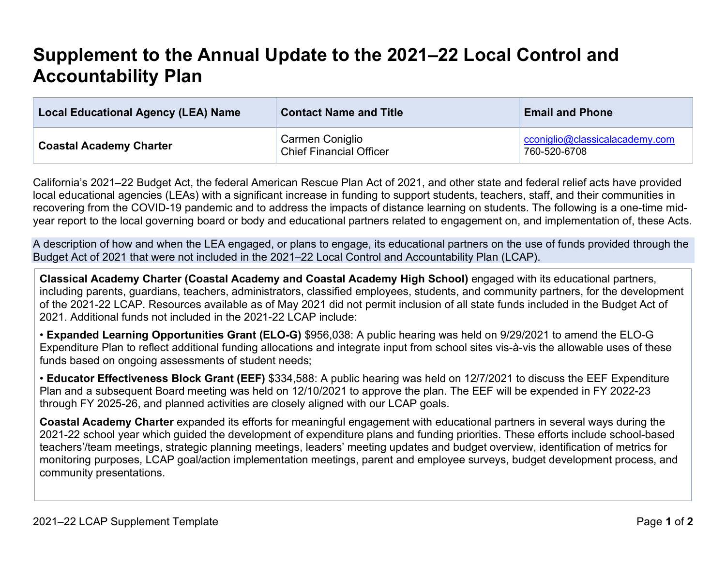## **Supplement to the Annual Update to the 2021–22 Local Control and Accountability Plan**

| <b>Local Educational Agency (LEA) Name</b> | <b>Contact Name and Title</b>                           | <b>Email and Phone</b>                         |
|--------------------------------------------|---------------------------------------------------------|------------------------------------------------|
| <b>Coastal Academy Charter</b>             | Carmen Coniglio<br><sup>t</sup> Chief Financial Officer | cconiglio@classicalacademy.com<br>760-520-6708 |

California's 2021–22 Budget Act, the federal American Rescue Plan Act of 2021, and other state and federal relief acts have provided local educational agencies (LEAs) with a significant increase in funding to support students, teachers, staff, and their communities in recovering from the COVID-19 pandemic and to address the impacts of distance learning on students. The following is a one-time midyear report to the local governing board or body and educational partners related to engagement on, and implementation of, these Acts.

A description of how and when the LEA engaged, or plans to engage, its educational partners on the use of funds provided through the Budget Act of 2021 that were not included in the 2021–22 Local Control and Accountability Plan (LCAP).

**Classical Academy Charter (Coastal Academy and Coastal Academy High School)** engaged with its educational partners, including parents, guardians, teachers, administrators, classified employees, students, and community partners, for the development of the 2021-22 LCAP. Resources available as of May 2021 did not permit inclusion of all state funds included in the Budget Act of 2021. Additional funds not included in the 2021-22 LCAP include:

• **Expanded Learning Opportunities Grant (ELO-G)** \$956,038: A public hearing was held on 9/29/2021 to amend the ELO-G Expenditure Plan to reflect additional funding allocations and integrate input from school sites vis-à-vis the allowable uses of these funds based on ongoing assessments of student needs;

• **Educator Effectiveness Block Grant (EEF)** \$334,588: A public hearing was held on 12/7/2021 to discuss the EEF Expenditure Plan and a subsequent Board meeting was held on 12/10/2021 to approve the plan. The EEF will be expended in FY 2022-23 through FY 2025-26, and planned activities are closely aligned with our LCAP goals.

**Coastal Academy Charter** expanded its efforts for meaningful engagement with educational partners in several ways during the 2021-22 school year which guided the development of expenditure plans and funding priorities. These efforts include school-based teachers'/team meetings, strategic planning meetings, leaders' meeting updates and budget overview, identification of metrics for monitoring purposes, LCAP goal/action implementation meetings, parent and employee surveys, budget development process, and community presentations.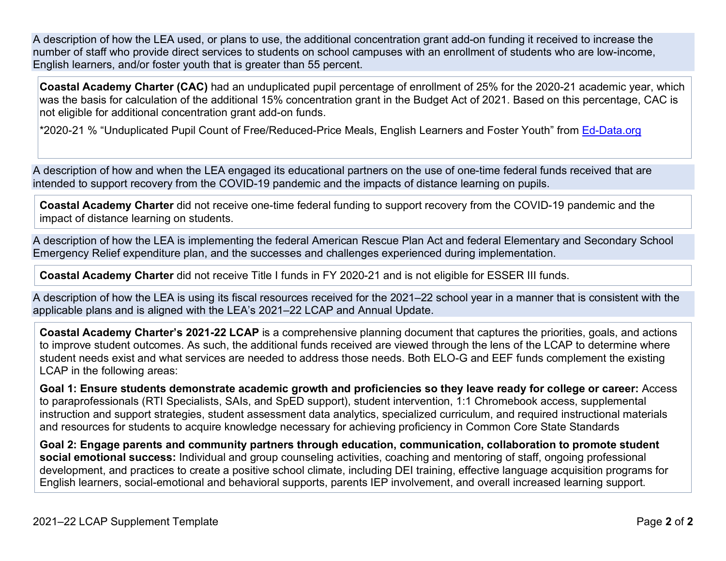A description of how the LEA used, or plans to use, the additional concentration grant add-on funding it received to increase the number of staff who provide direct services to students on school campuses with an enrollment of students who are low-income, English learners, and/or foster youth that is greater than 55 percent.

**Coastal Academy Charter (CAC)** had an unduplicated pupil percentage of enrollment of 25% for the 2020-21 academic year, which was the basis for calculation of the additional 15% concentration grant in the Budget Act of 2021. Based on this percentage, CAC is not eligible for additional concentration grant add-on funds.

\*2020-21 % "Unduplicated Pupil Count of Free/Reduced-Price Meals, English Learners and Foster Youth" from Ed-Data.org

A description of how and when the LEA engaged its educational partners on the use of one-time federal funds received that are intended to support recovery from the COVID-19 pandemic and the impacts of distance learning on pupils.

**Coastal Academy Charter** did not receive one-time federal funding to support recovery from the COVID-19 pandemic and the impact of distance learning on students.

A description of how the LEA is implementing the federal American Rescue Plan Act and federal Elementary and Secondary School Emergency Relief expenditure plan, and the successes and challenges experienced during implementation.

**Coastal Academy Charter** did not receive Title I funds in FY 2020-21 and is not eligible for ESSER III funds.

A description of how the LEA is using its fiscal resources received for the 2021–22 school year in a manner that is consistent with the applicable plans and is aligned with the LEA's 2021–22 LCAP and Annual Update.

**Coastal Academy Charter's 2021-22 LCAP** is a comprehensive planning document that captures the priorities, goals, and actions to improve student outcomes. As such, the additional funds received are viewed through the lens of the LCAP to determine where student needs exist and what services are needed to address those needs. Both ELO-G and EEF funds complement the existing LCAP in the following areas:

**Goal 1: Ensure students demonstrate academic growth and proficiencies so they leave ready for college or career:** Access to paraprofessionals (RTI Specialists, SAIs, and SpED support), student intervention, 1:1 Chromebook access, supplemental instruction and support strategies, student assessment data analytics, specialized curriculum, and required instructional materials and resources for students to acquire knowledge necessary for achieving proficiency in Common Core State Standards

**Goal 2: Engage parents and community partners through education, communication, collaboration to promote student social emotional success:** Individual and group counseling activities, coaching and mentoring of staff, ongoing professional development, and practices to create a positive school climate, including DEI training, effective language acquisition programs for English learners, social-emotional and behavioral supports, parents IEP involvement, and overall increased learning support.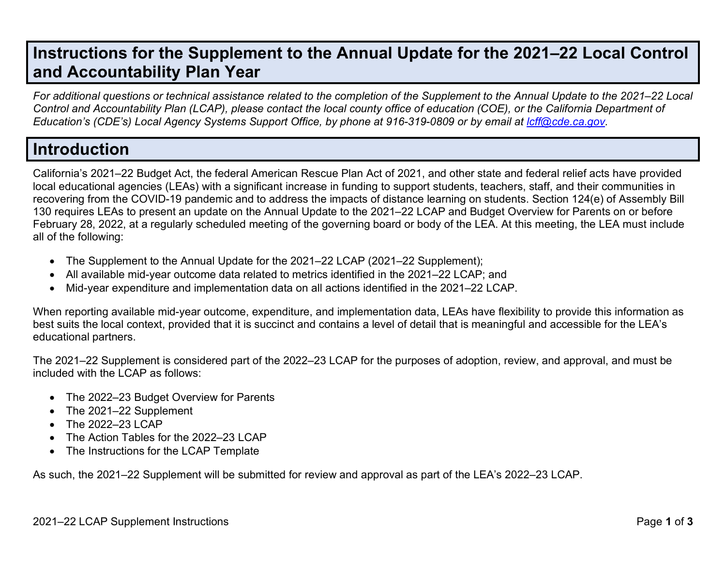## **Instructions for the Supplement to the Annual Update for the 2021–22 Local Control and Accountability Plan Year**

*For additional questions or technical assistance related to the completion of the Supplement to the Annual Update to the 2021–22 Local Control and Accountability Plan (LCAP), please contact the local county office of education (COE), or the California Department of Education's (CDE's) Local Agency Systems Support Office, by phone at 916-319-0809 or by email at lcff@cde.ca.gov.*

## **Introduction**

California's 2021–22 Budget Act, the federal American Rescue Plan Act of 2021, and other state and federal relief acts have provided local educational agencies (LEAs) with a significant increase in funding to support students, teachers, staff, and their communities in recovering from the COVID-19 pandemic and to address the impacts of distance learning on students. Section 124(e) of Assembly Bill 130 requires LEAs to present an update on the Annual Update to the 2021–22 LCAP and Budget Overview for Parents on or before February 28, 2022, at a regularly scheduled meeting of the governing board or body of the LEA. At this meeting, the LEA must include all of the following:

- The Supplement to the Annual Update for the 2021–22 LCAP (2021–22 Supplement);
- All available mid-year outcome data related to metrics identified in the 2021–22 LCAP; and
- Mid-year expenditure and implementation data on all actions identified in the 2021–22 LCAP.

When reporting available mid-year outcome, expenditure, and implementation data, LEAs have flexibility to provide this information as best suits the local context, provided that it is succinct and contains a level of detail that is meaningful and accessible for the LEA's educational partners.

The 2021–22 Supplement is considered part of the 2022–23 LCAP for the purposes of adoption, review, and approval, and must be included with the LCAP as follows:

- The 2022–23 Budget Overview for Parents
- The 2021-22 Supplement
- The 2022-23 LCAP
- The Action Tables for the 2022–23 LCAP
- The Instructions for the LCAP Template

As such, the 2021–22 Supplement will be submitted for review and approval as part of the LEA's 2022–23 LCAP.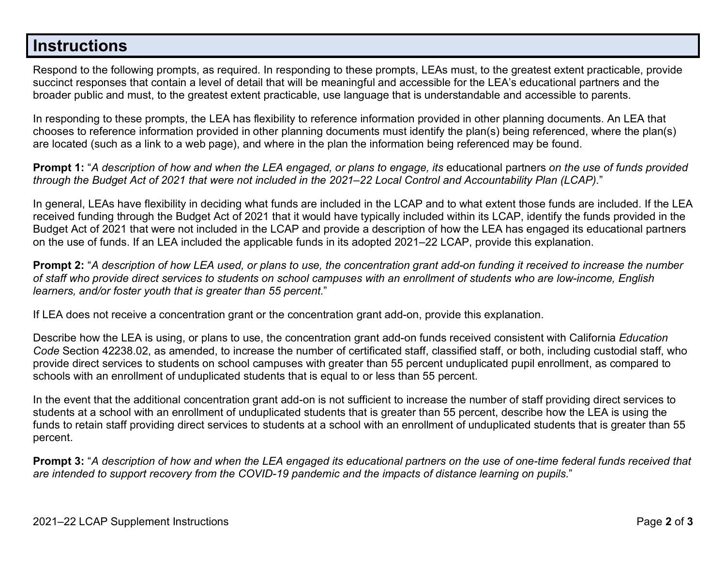## **Instructions**

Respond to the following prompts, as required. In responding to these prompts, LEAs must, to the greatest extent practicable, provide succinct responses that contain a level of detail that will be meaningful and accessible for the LEA's educational partners and the broader public and must, to the greatest extent practicable, use language that is understandable and accessible to parents.

In responding to these prompts, the LEA has flexibility to reference information provided in other planning documents. An LEA that chooses to reference information provided in other planning documents must identify the plan(s) being referenced, where the plan(s) are located (such as a link to a web page), and where in the plan the information being referenced may be found.

**Prompt 1:** "*A description of how and when the LEA engaged, or plans to engage, its* educational partners *on the use of funds provided through the Budget Act of 2021 that were not included in the 2021–22 Local Control and Accountability Plan (LCAP).*"

In general, LEAs have flexibility in deciding what funds are included in the LCAP and to what extent those funds are included. If the LEA received funding through the Budget Act of 2021 that it would have typically included within its LCAP, identify the funds provided in the Budget Act of 2021 that were not included in the LCAP and provide a description of how the LEA has engaged its educational partners on the use of funds. If an LEA included the applicable funds in its adopted 2021–22 LCAP, provide this explanation.

**Prompt 2:** "*A description of how LEA used, or plans to use, the concentration grant add-on funding it received to increase the number of staff who provide direct services to students on school campuses with an enrollment of students who are low-income, English learners, and/or foster youth that is greater than 55 percent.*"

If LEA does not receive a concentration grant or the concentration grant add-on, provide this explanation.

Describe how the LEA is using, or plans to use, the concentration grant add-on funds received consistent with California *Education Code* Section 42238.02, as amended, to increase the number of certificated staff, classified staff, or both, including custodial staff, who provide direct services to students on school campuses with greater than 55 percent unduplicated pupil enrollment, as compared to schools with an enrollment of unduplicated students that is equal to or less than 55 percent.

In the event that the additional concentration grant add-on is not sufficient to increase the number of staff providing direct services to students at a school with an enrollment of unduplicated students that is greater than 55 percent, describe how the LEA is using the funds to retain staff providing direct services to students at a school with an enrollment of unduplicated students that is greater than 55 percent.

**Prompt 3:** "*A description of how and when the LEA engaged its educational partners on the use of one-time federal funds received that are intended to support recovery from the COVID-19 pandemic and the impacts of distance learning on pupils.*"